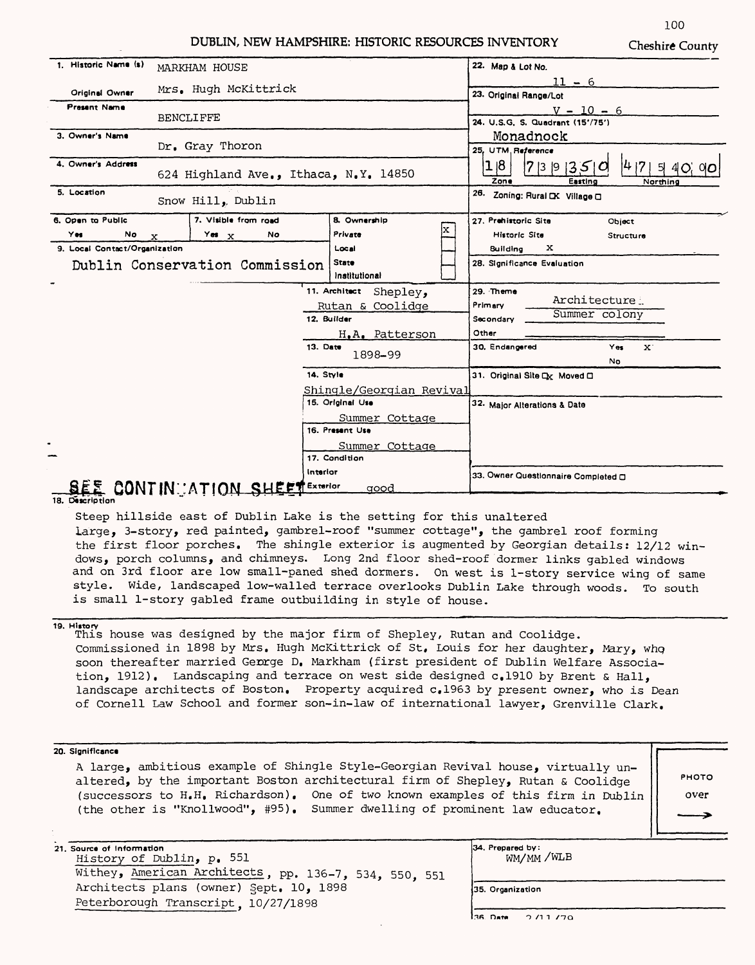100

#### DUBLIN, NEW HAMPSHIRE: HISTORIC RESOURCES INVENTORY

| Cheshire County |  |
|-----------------|--|
|-----------------|--|

| 1. Historic Name (s)<br>MARKHAM HOUSE     |                                       | 22. Map & Lot No.                                                  |
|-------------------------------------------|---------------------------------------|--------------------------------------------------------------------|
| Mrs. Hugh McKittrick<br>Original Owner    |                                       | $11 - 6$<br>23. Original Range/Lot                                 |
| <b>Present Name</b>                       |                                       |                                                                    |
| <b>BENCLIFFE</b>                          |                                       | $V - 10 - 6$                                                       |
|                                           |                                       | 24. U.S.G. S. Quadrant (15'/75')                                   |
| 3. Owner's Name                           |                                       | Monadnock                                                          |
| Dr. Gray Thoron                           |                                       | 25, UTM, Reference                                                 |
| 4. Owner's Address                        | 624 Highland Ave., Ithaca, N.Y. 14850 | 1 8<br>$ 4 7 $ 5 40.<br> 7 3 9 35 0<br>Zone<br>Easting<br>Northing |
| 5. Location<br>Snow Hill, Dublin          |                                       | 26. Zoning: Rural DK Village □                                     |
| 7. Visible from road<br>6. Open to Public | 8. Ownership                          | 27. Prehistoric Site<br>Object                                     |
| Yes:<br>No<br>$Y$ es $X$<br>$\mathbf x$   | X.<br>Private<br>No                   | <b>Historic Site</b><br><b>Structure</b>                           |
| 9. Local Contact/Organization             | Local                                 | x<br><b>Building</b>                                               |
| Dublin Conservation Commission            | <b>State</b>                          | 28. Significance Evaluation                                        |
|                                           | Institutional                         |                                                                    |
|                                           | 11. Architect<br>Shepley,             | 29. Theme                                                          |
|                                           | Rutan & Coolidge                      | Architecture<br>Primary                                            |
|                                           | 12. Builder                           | Summer colony<br>Secondarv                                         |
|                                           |                                       | Other                                                              |
|                                           | H.A. Patterson<br>13. Date            | 30. Endangered<br>$\mathbf{x}$<br>Yes                              |
|                                           | 1898-99                               | No                                                                 |
|                                           | 14. Style                             |                                                                    |
|                                           |                                       | 31. Original Site Lk Moved □                                       |
|                                           | Shingle/Georgian Revival              |                                                                    |
|                                           | 15. Original Use                      | 32. Major Alterations & Date                                       |
|                                           | Summer Cottage                        |                                                                    |
|                                           | 16. Present Use                       |                                                                    |
|                                           | Summer Cottage                        |                                                                    |
|                                           | 17. Condition                         |                                                                    |
|                                           | Interior                              | 33. Owner Questionnaire Completed O                                |
| <b>SEE CONTINUATION SHEETEXTEIOT</b>      | qood                                  |                                                                    |

#### **18. description**

Steep hillside east of Dublin Lake is the setting for this unaltered large, 3-story, red painted, gambrel-roof "summer cottage", the gambrel roof forming the first floor porches. The shingle exterior is augmented by Georgian details: 12/12 windows, porch columns, and chimneys. Long 2nd floor shed-roof dormer links gabled windows and on 3rd floor are low small-paned shed dormers. On west is 1-story service wing of same style. Wide, landscaped low-walled terrace overlooks Dublin Lake through woods. To south is small 1-story gabled frame outbuilding in style of house.

**19. History**

This house was designed by the major firm of Shepley, Rutan and Coolidge. Commissioned in 1898 by Mrs. Hugh McKittrick of St, Louis for her daughter, Mary, whq soon thereafter married George D. Markham (first president of Dublin Welfare Association, 1912). Landscaping and terrace on west side designed c.1910 by Brent & Hall, landscape architects of Boston. Property acquired c.1963 by present owner, who is Dean of Cornell Law School and former son-in-law of international lawyer, Grenville Clark.

#### **20. Significance**

A large, ambitious example of Shingle Style-Georgian Revival house, virtually unaltered, by the important Boston architectural firm of Shepley, Rutan & Coolidge (successors to H.H. Richardson). One of two known examples of this firm in Dublin (the other is "Knollwood", #95). Summer dwelling of prominent law educator.

PHOTO over

**21. Source of Information** History of Dublin, p. 551 Withey, American Architects, pp. 136-7, 534, 550, 551 Architects plans (owner) Sept. 10, 1898 Peterborough Transcript, 10/27/1898 **34. Prepared by:** WM/MM /WLB

**35. Organization**

la6. Date. **n i /-7Q**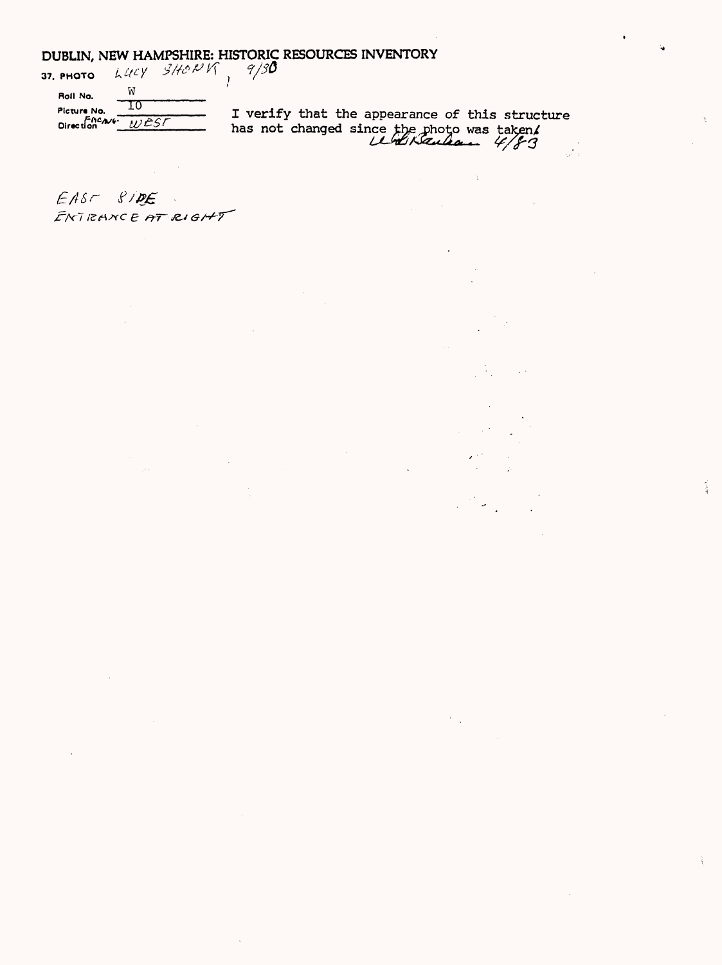# DUBLIN, NEW HAMPSHIRE: HISTORIC RESOURCES INVENTORY<br>37. PHOTO LUCY SHOW K 9/30

| <b>7. PHOTO</b> | LUCY | $S$ HONV |  |
|-----------------|------|----------|--|
| Roll No.        | W    |          |  |
| Picture No.     | ח ו  |          |  |
| Direction CAVE  | WEST |          |  |
|                 |      |          |  |

I verify that the appearance of this structure<br>has not changed since the photo was taken/<br>Lattimum 4/83  $\frac{1}{2} \frac{1}{2}$ 

 $EASr$   $SIDE$ ENTRANCE AT RIGHT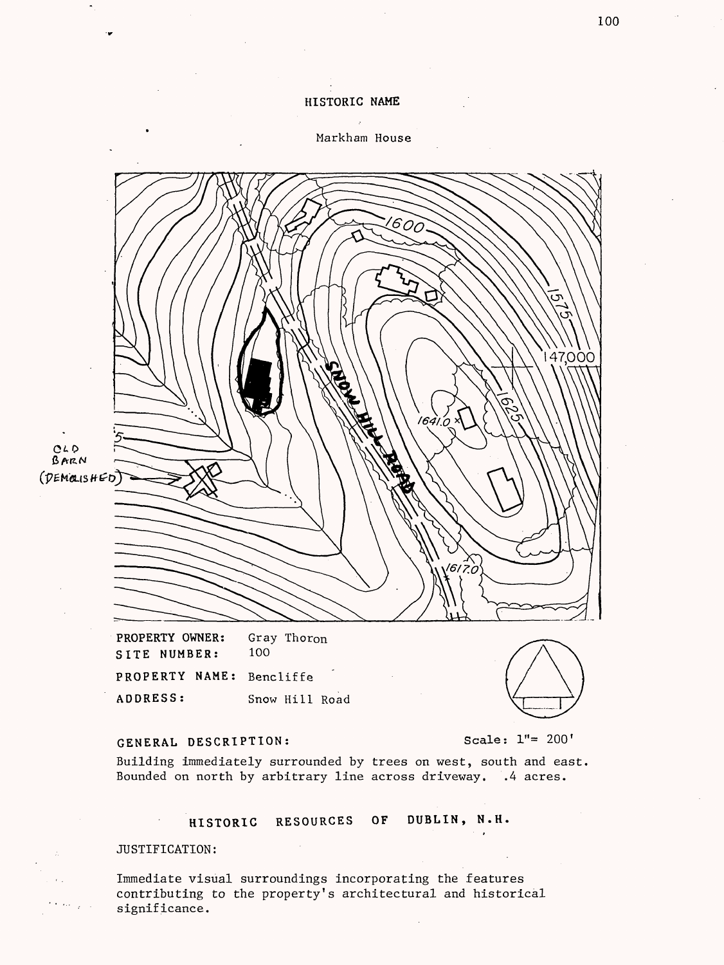#### HISTORIC NAME

Markham House



PROPERTY OWNER: Gray Thoron<br>SITE NUMBER: 100 SITE NUMBER: PROPERTY NAME: Bencliffe ADDRESS: Snow Hill Road



#### GENERAL DESCRIPTION: Scale: 1"= 200'

Building immediately surrounded by trees on west, south and east, Bounded on north by arbitrary line across driveway. .4 acres.

HISTORIC RESOURCES OF DUBLIN, N.H.

#### JUSTIFICATION:

Immediate visual surroundings incorporating the features contributing to the property's architectural and historical significance.